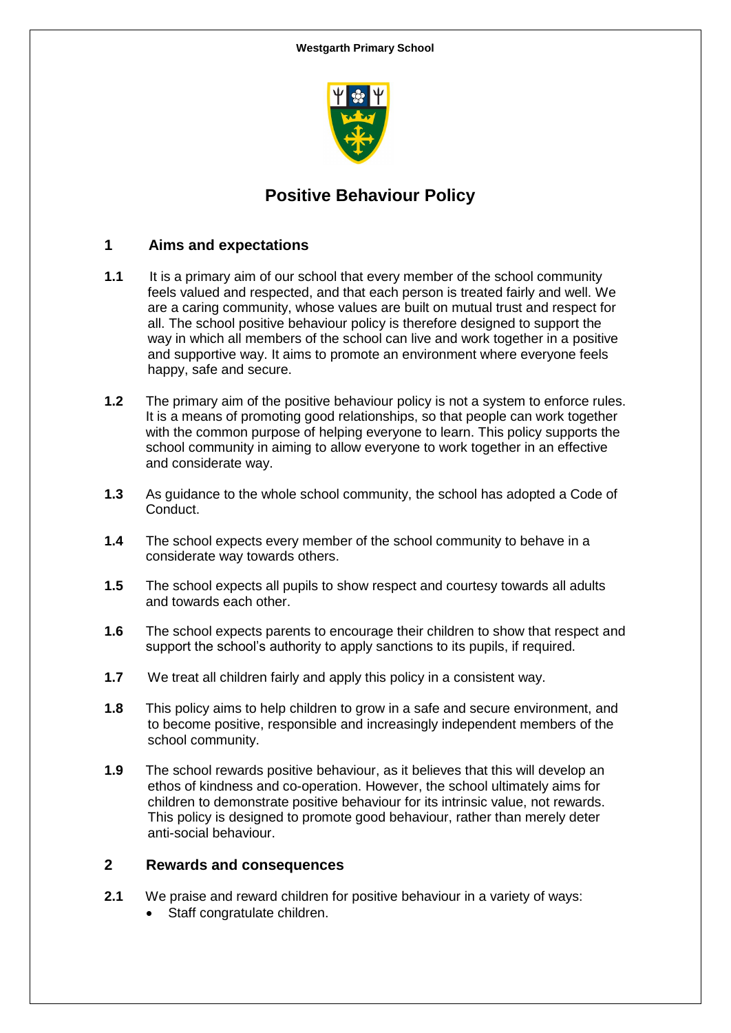

# **Positive Behaviour Policy**

#### **1 Aims and expectations**

- **1.1** It is a primary aim of our school that every member of the school community feels valued and respected, and that each person is treated fairly and well. We are a caring community, whose values are built on mutual trust and respect for all. The school positive behaviour policy is therefore designed to support the way in which all members of the school can live and work together in a positive and supportive way. It aims to promote an environment where everyone feels happy, safe and secure.
- **1.2** The primary aim of the positive behaviour policy is not a system to enforce rules. It is a means of promoting good relationships, so that people can work together with the common purpose of helping everyone to learn. This policy supports the school community in aiming to allow everyone to work together in an effective and considerate way.
- **1.3** As guidance to the whole school community, the school has adopted a Code of Conduct.
- **1.4** The school expects every member of the school community to behave in a considerate way towards others.
- **1.5** The school expects all pupils to show respect and courtesy towards all adults and towards each other.
- **1.6** The school expects parents to encourage their children to show that respect and support the school's authority to apply sanctions to its pupils, if required.
- **1.7** We treat all children fairly and apply this policy in a consistent way.
- **1.8** This policy aims to help children to grow in a safe and secure environment, and to become positive, responsible and increasingly independent members of the school community.
- **1.9** The school rewards positive behaviour, as it believes that this will develop an ethos of kindness and co-operation. However, the school ultimately aims for children to demonstrate positive behaviour for its intrinsic value, not rewards. This policy is designed to promote good behaviour, rather than merely deter anti-social behaviour.

#### **2 Rewards and consequences**

- **2.1** We praise and reward children for positive behaviour in a variety of ways:
	- Staff congratulate children.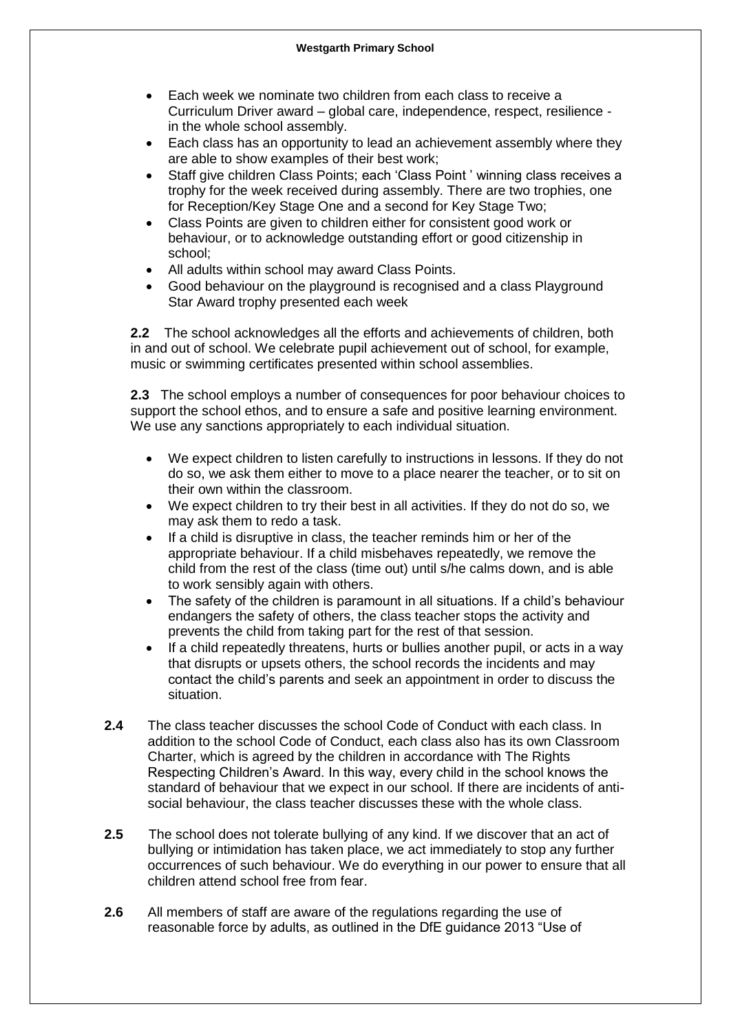- Each week we nominate two children from each class to receive a Curriculum Driver award – global care, independence, respect, resilience in the whole school assembly.
- Each class has an opportunity to lead an achievement assembly where they are able to show examples of their best work;
- Staff give children Class Points; each 'Class Point ' winning class receives a trophy for the week received during assembly. There are two trophies, one for Reception/Key Stage One and a second for Key Stage Two;
- Class Points are given to children either for consistent good work or behaviour, or to acknowledge outstanding effort or good citizenship in school;
- All adults within school may award Class Points.
- Good behaviour on the playground is recognised and a class Playground Star Award trophy presented each week

**2.2** The school acknowledges all the efforts and achievements of children, both in and out of school. We celebrate pupil achievement out of school, for example, music or swimming certificates presented within school assemblies.

**2.3** The school employs a number of consequences for poor behaviour choices to support the school ethos, and to ensure a safe and positive learning environment. We use any sanctions appropriately to each individual situation.

- We expect children to listen carefully to instructions in lessons. If they do not do so, we ask them either to move to a place nearer the teacher, or to sit on their own within the classroom.
- We expect children to try their best in all activities. If they do not do so, we may ask them to redo a task.
- If a child is disruptive in class, the teacher reminds him or her of the appropriate behaviour. If a child misbehaves repeatedly, we remove the child from the rest of the class (time out) until s/he calms down, and is able to work sensibly again with others.
- The safety of the children is paramount in all situations. If a child's behaviour endangers the safety of others, the class teacher stops the activity and prevents the child from taking part for the rest of that session.
- If a child repeatedly threatens, hurts or bullies another pupil, or acts in a way that disrupts or upsets others, the school records the incidents and may contact the child's parents and seek an appointment in order to discuss the situation.
- **2.4** The class teacher discusses the school Code of Conduct with each class. In addition to the school Code of Conduct, each class also has its own Classroom Charter, which is agreed by the children in accordance with The Rights Respecting Children's Award. In this way, every child in the school knows the standard of behaviour that we expect in our school. If there are incidents of antisocial behaviour, the class teacher discusses these with the whole class.
- **2.5** The school does not tolerate bullying of any kind. If we discover that an act of bullying or intimidation has taken place, we act immediately to stop any further occurrences of such behaviour. We do everything in our power to ensure that all children attend school free from fear.
- **2.6** All members of staff are aware of the regulations regarding the use of reasonable force by adults, as outlined in the DfE guidance 2013 "Use of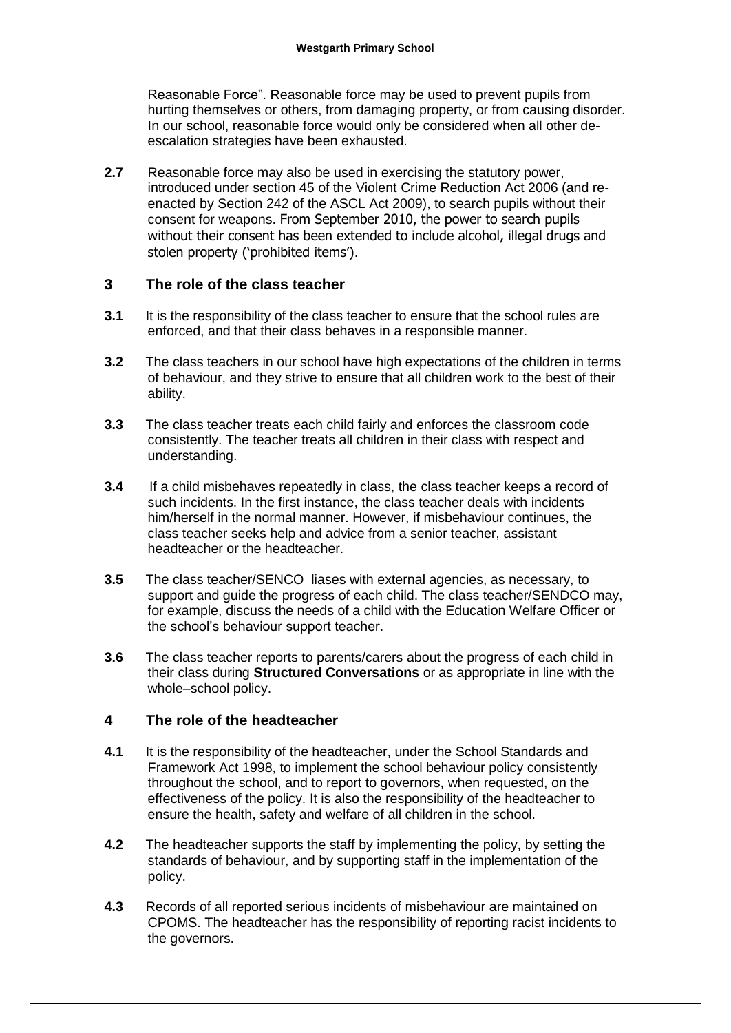Reasonable Force". Reasonable force may be used to prevent pupils from hurting themselves or others, from damaging property, or from causing disorder. In our school, reasonable force would only be considered when all other deescalation strategies have been exhausted.

**2.7** Reasonable force may also be used in exercising the statutory power, introduced under section 45 of the Violent Crime Reduction Act 2006 (and reenacted by Section 242 of the ASCL Act 2009), to search pupils without their consent for weapons. From September 2010, the power to search pupils without their consent has been extended to include alcohol, illegal drugs and stolen property ('prohibited items').

#### **3 The role of the class teacher**

- **3.1** It is the responsibility of the class teacher to ensure that the school rules are enforced, and that their class behaves in a responsible manner.
- **3.2** The class teachers in our school have high expectations of the children in terms of behaviour, and they strive to ensure that all children work to the best of their ability.
- **3.3** The class teacher treats each child fairly and enforces the classroom code consistently. The teacher treats all children in their class with respect and understanding.
- **3.4** If a child misbehaves repeatedly in class, the class teacher keeps a record of such incidents. In the first instance, the class teacher deals with incidents him/herself in the normal manner. However, if misbehaviour continues, the class teacher seeks help and advice from a senior teacher, assistant headteacher or the headteacher.
- **3.5** The class teacher/SENCO liases with external agencies, as necessary, to support and guide the progress of each child. The class teacher/SENDCO may, for example, discuss the needs of a child with the Education Welfare Officer or the school's behaviour support teacher.
- **3.6** The class teacher reports to parents/carers about the progress of each child in their class during **Structured Conversations** or as appropriate in line with the whole–school policy.

#### **4 The role of the headteacher**

- **4.1** It is the responsibility of the headteacher, under the School Standards and Framework Act 1998, to implement the school behaviour policy consistently throughout the school, and to report to governors, when requested, on the effectiveness of the policy. It is also the responsibility of the headteacher to ensure the health, safety and welfare of all children in the school.
- **4.2** The headteacher supports the staff by implementing the policy, by setting the standards of behaviour, and by supporting staff in the implementation of the policy.
- **4.3** Records of all reported serious incidents of misbehaviour are maintained on CPOMS. The headteacher has the responsibility of reporting racist incidents to the governors.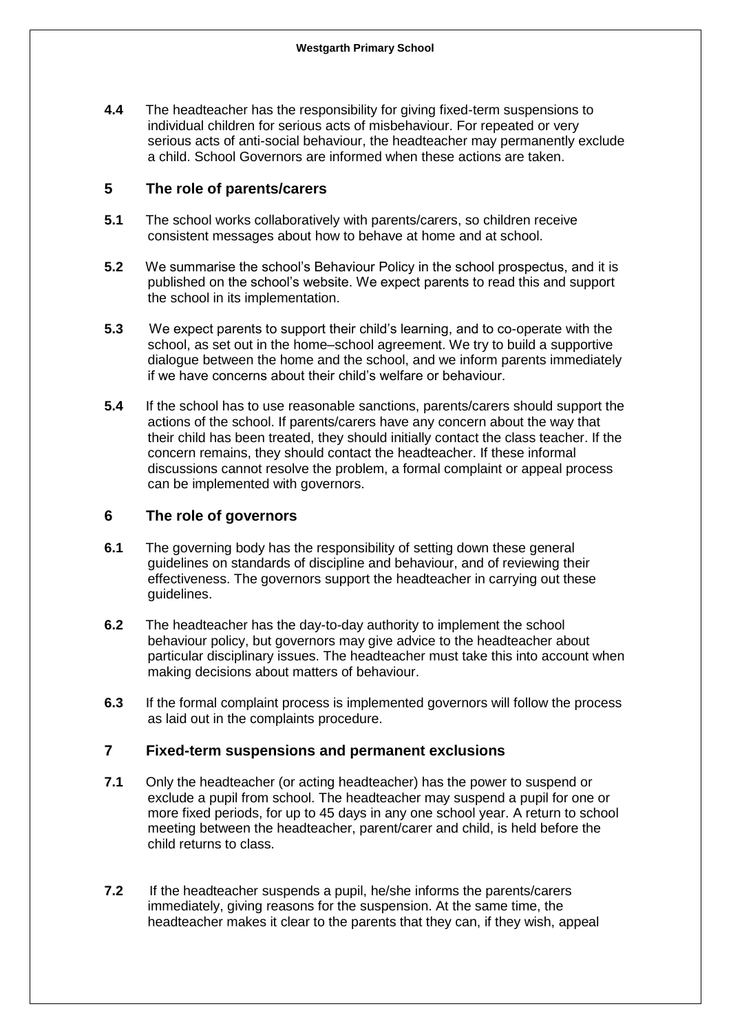**4.4** The headteacher has the responsibility for giving fixed-term suspensions to individual children for serious acts of misbehaviour. For repeated or very serious acts of anti-social behaviour, the headteacher may permanently exclude a child. School Governors are informed when these actions are taken.

#### **5 The role of parents/carers**

- **5.1** The school works collaboratively with parents/carers, so children receive consistent messages about how to behave at home and at school.
- **5.2** We summarise the school's Behaviour Policy in the school prospectus, and it is published on the school's website. We expect parents to read this and support the school in its implementation.
- **5.3** We expect parents to support their child's learning, and to co-operate with the school, as set out in the home–school agreement. We try to build a supportive dialogue between the home and the school, and we inform parents immediately if we have concerns about their child's welfare or behaviour.
- **5.4** If the school has to use reasonable sanctions, parents/carers should support the actions of the school. If parents/carers have any concern about the way that their child has been treated, they should initially contact the class teacher. If the concern remains, they should contact the headteacher. If these informal discussions cannot resolve the problem, a formal complaint or appeal process can be implemented with governors.

#### **6 The role of governors**

- **6.1** The governing body has the responsibility of setting down these general guidelines on standards of discipline and behaviour, and of reviewing their effectiveness. The governors support the headteacher in carrying out these guidelines.
- **6.2** The headteacher has the day-to-day authority to implement the school behaviour policy, but governors may give advice to the headteacher about particular disciplinary issues. The headteacher must take this into account when making decisions about matters of behaviour.
- **6.3** If the formal complaint process is implemented governors will follow the process as laid out in the complaints procedure.

#### **7 Fixed-term suspensions and permanent exclusions**

- **7.1** Only the headteacher (or acting headteacher) has the power to suspend or exclude a pupil from school. The headteacher may suspend a pupil for one or more fixed periods, for up to 45 days in any one school year. A return to school meeting between the headteacher, parent/carer and child, is held before the child returns to class.
- **7.2** If the headteacher suspends a pupil, he/she informs the parents/carers immediately, giving reasons for the suspension. At the same time, the headteacher makes it clear to the parents that they can, if they wish, appeal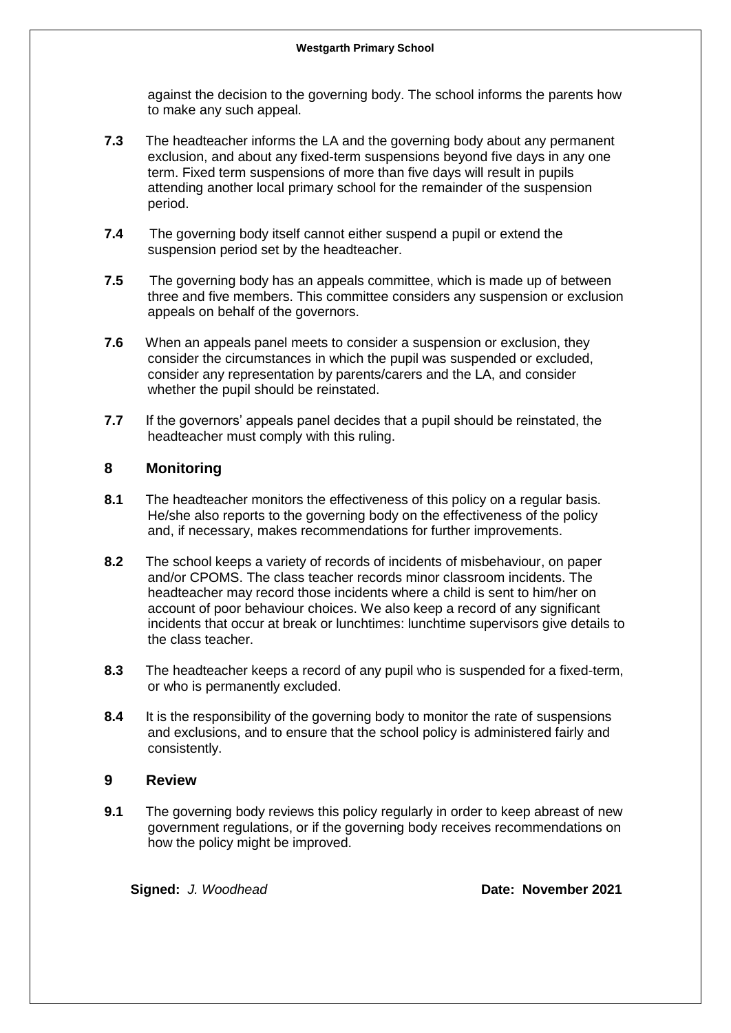against the decision to the governing body. The school informs the parents how to make any such appeal.

- **7.3** The headteacher informs the LA and the governing body about any permanent exclusion, and about any fixed-term suspensions beyond five days in any one term. Fixed term suspensions of more than five days will result in pupils attending another local primary school for the remainder of the suspension period.
- **7.4** The governing body itself cannot either suspend a pupil or extend the suspension period set by the headteacher.
- **7.5** The governing body has an appeals committee, which is made up of between three and five members. This committee considers any suspension or exclusion appeals on behalf of the governors.
- **7.6** When an appeals panel meets to consider a suspension or exclusion, they consider the circumstances in which the pupil was suspended or excluded, consider any representation by parents/carers and the LA, and consider whether the pupil should be reinstated.
- **7.7** If the governors' appeals panel decides that a pupil should be reinstated, the headteacher must comply with this ruling.

#### **8 Monitoring**

- **8.1** The headteacher monitors the effectiveness of this policy on a regular basis. He/she also reports to the governing body on the effectiveness of the policy and, if necessary, makes recommendations for further improvements.
- **8.2** The school keeps a variety of records of incidents of misbehaviour, on paper and/or CPOMS. The class teacher records minor classroom incidents. The headteacher may record those incidents where a child is sent to him/her on account of poor behaviour choices. We also keep a record of any significant incidents that occur at break or lunchtimes: lunchtime supervisors give details to the class teacher.
- **8.3** The headteacher keeps a record of any pupil who is suspended for a fixed-term, or who is permanently excluded.
- **8.4** It is the responsibility of the governing body to monitor the rate of suspensions and exclusions, and to ensure that the school policy is administered fairly and consistently.

#### **9 Review**

**9.1** The governing body reviews this policy regularly in order to keep abreast of new government regulations, or if the governing body receives recommendations on how the policy might be improved.

**Signed:** *J. Woodhead* **Date: November 2021**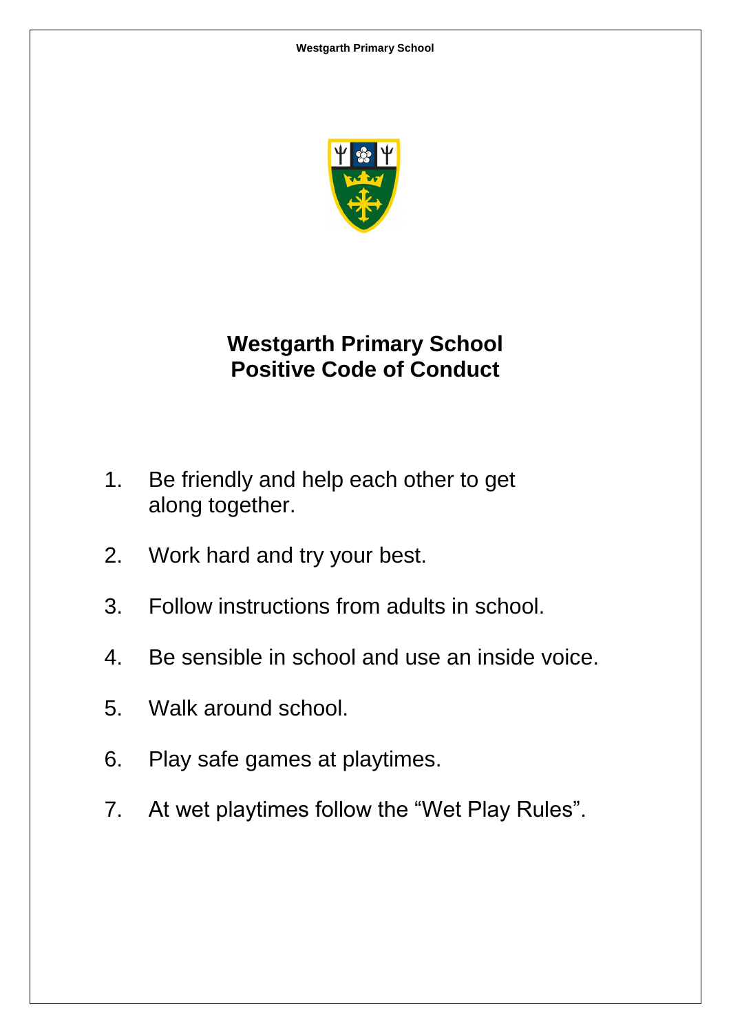

# **Westgarth Primary School Positive Code of Conduct**

- 1. Be friendly and help each other to get along together.
- 2. Work hard and try your best.
- 3. Follow instructions from adults in school.
- 4. Be sensible in school and use an inside voice.
- 5. Walk around school.
- 6. Play safe games at playtimes.
- 7. At wet playtimes follow the "Wet Play Rules".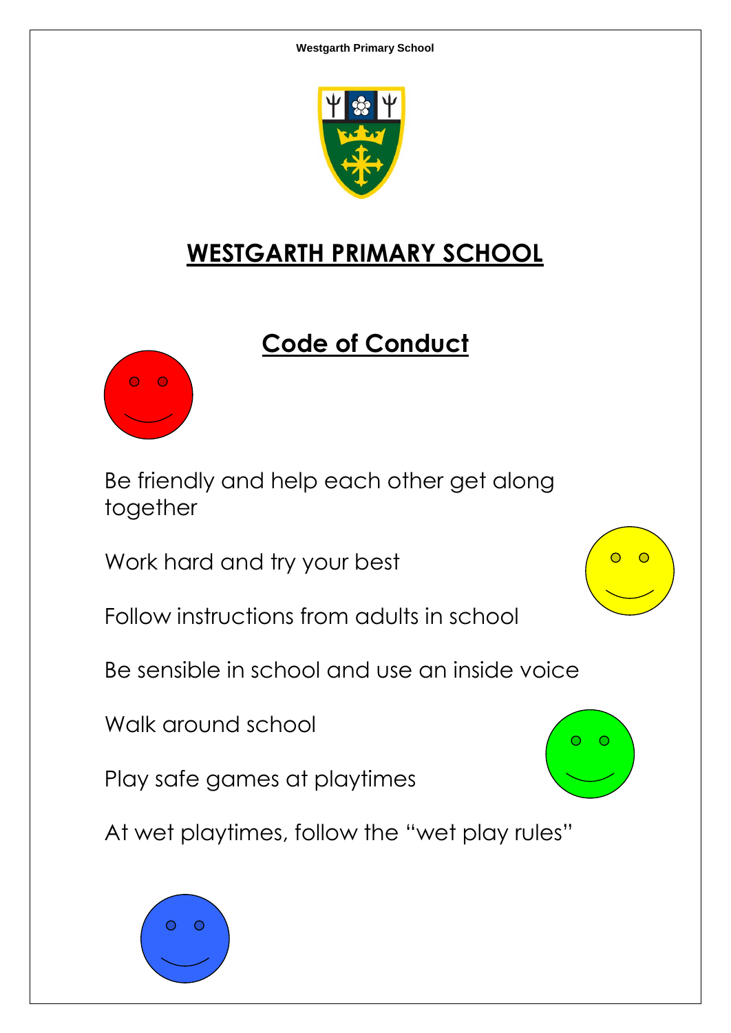

# **WESTGARTH PRIMARY SCHOOL**

# **Code of Conduct**



Be friendly and help each other get along together

Work hard and try your best

Follow instructions from adults in school

Be sensible in school and use an inside voice

Walk around school

Play safe games at playtimes

At wet playtimes, follow the "wet play rules"





 $\overline{\phantom{a}}$   $\overline{\phantom{a}}$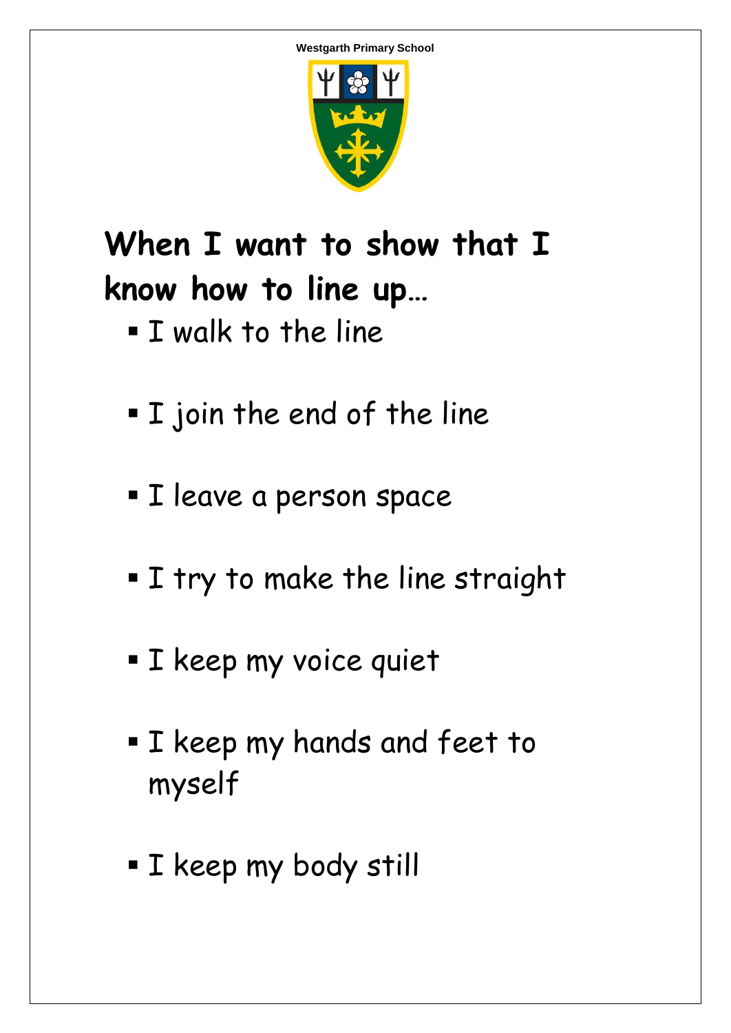

# **When I want to show that I know how to line up…**

- **I** walk to the line
- I join the end of the line
- **I** leave a person space
- I try to make the line straight
- **I** keep my voice quiet
- **I** keep my hands and feet to myself
- **I** keep my body still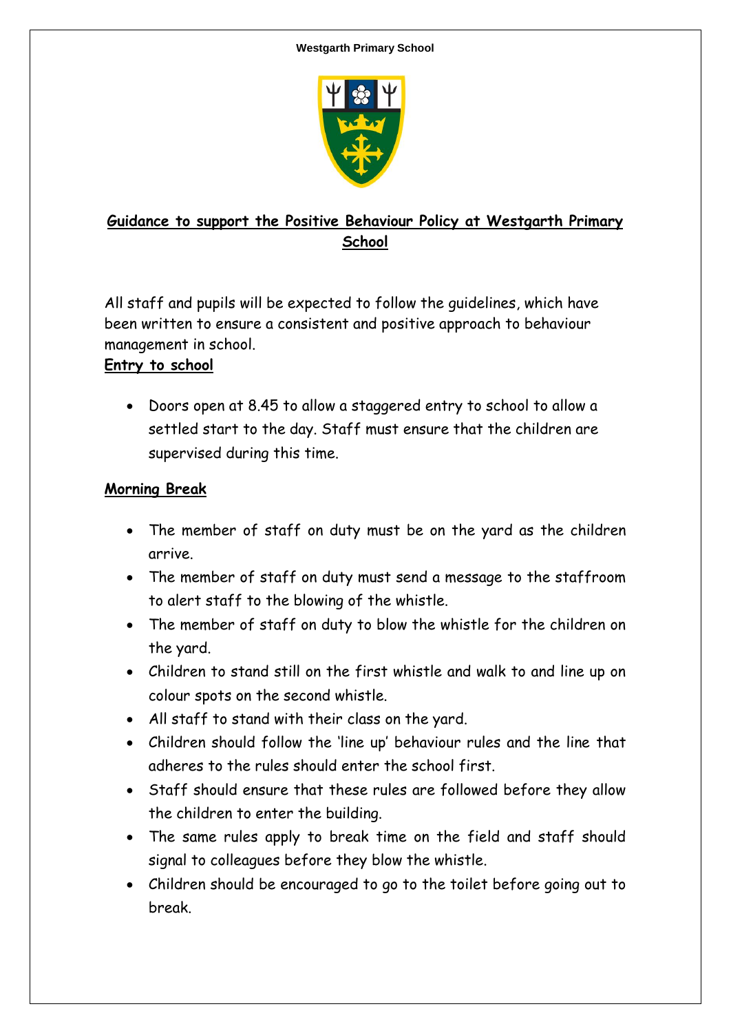

# **Guidance to support the Positive Behaviour Policy at Westgarth Primary School**

All staff and pupils will be expected to follow the guidelines, which have been written to ensure a consistent and positive approach to behaviour management in school.

# **Entry to school**

 Doors open at 8.45 to allow a staggered entry to school to allow a settled start to the day. Staff must ensure that the children are supervised during this time.

# **Morning Break**

- The member of staff on duty must be on the yard as the children arrive.
- The member of staff on duty must send a message to the staffroom to alert staff to the blowing of the whistle.
- The member of staff on duty to blow the whistle for the children on the yard.
- Children to stand still on the first whistle and walk to and line up on colour spots on the second whistle.
- All staff to stand with their class on the yard.
- Children should follow the 'line up' behaviour rules and the line that adheres to the rules should enter the school first.
- Staff should ensure that these rules are followed before they allow the children to enter the building.
- The same rules apply to break time on the field and staff should signal to colleagues before they blow the whistle.
- Children should be encouraged to go to the toilet before going out to break.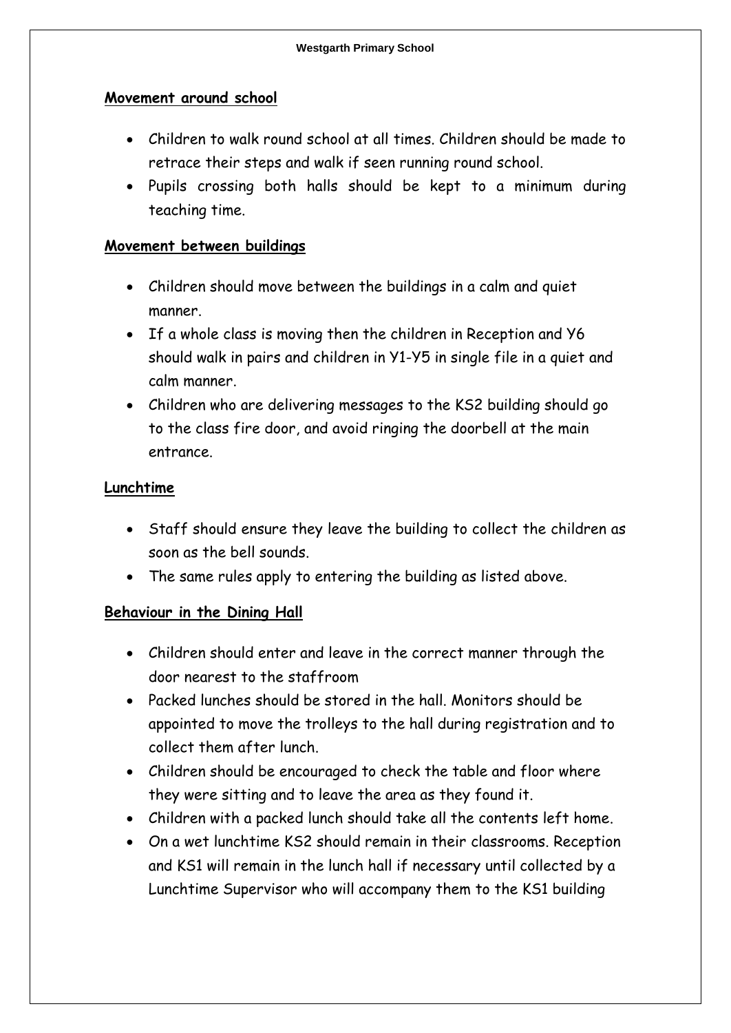### **Movement around school**

- Children to walk round school at all times. Children should be made to retrace their steps and walk if seen running round school.
- Pupils crossing both halls should be kept to a minimum during teaching time.

# **Movement between buildings**

- Children should move between the buildings in a calm and quiet manner.
- If a whole class is moving then the children in Reception and Y6 should walk in pairs and children in Y1-Y5 in single file in a quiet and calm manner.
- Children who are delivering messages to the KS2 building should go to the class fire door, and avoid ringing the doorbell at the main entrance.

# **Lunchtime**

- Staff should ensure they leave the building to collect the children as soon as the bell sounds.
- The same rules apply to entering the building as listed above.

# **Behaviour in the Dining Hall**

- Children should enter and leave in the correct manner through the door nearest to the staffroom
- Packed lunches should be stored in the hall. Monitors should be appointed to move the trolleys to the hall during registration and to collect them after lunch.
- Children should be encouraged to check the table and floor where they were sitting and to leave the area as they found it.
- Children with a packed lunch should take all the contents left home.
- On a wet lunchtime KS2 should remain in their classrooms. Reception and KS1 will remain in the lunch hall if necessary until collected by a Lunchtime Supervisor who will accompany them to the KS1 building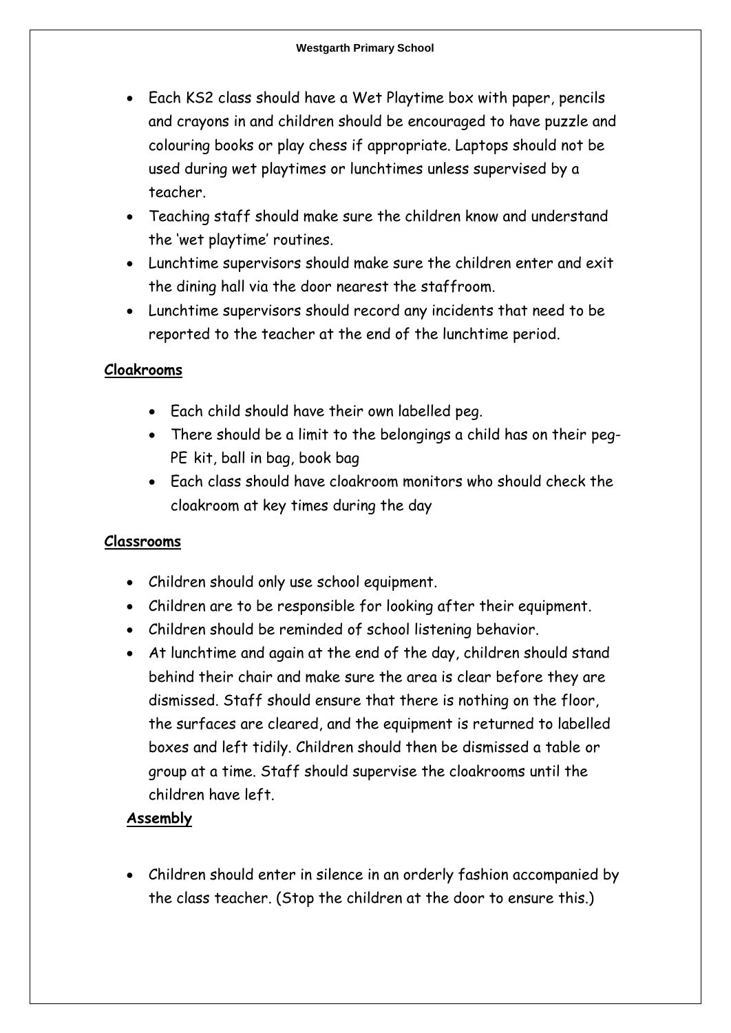- Each KS2 class should have a Wet Playtime box with paper, pencils and crayons in and children should be encouraged to have puzzle and colouring books or play chess if appropriate. Laptops should not be used during wet playtimes or lunchtimes unless supervised by a teacher.
- Teaching staff should make sure the children know and understand the 'wet playtime' routines.
- Lunchtime supervisors should make sure the children enter and exit the dining hall via the door nearest the staffroom.
- Lunchtime supervisors should record any incidents that need to be reported to the teacher at the end of the lunchtime period.

# **Cloakrooms**

- Each child should have their own labelled peg.
- There should be a limit to the belongings a child has on their peg-PE kit, ball in bag, book bag
- Each class should have cloakroom monitors who should check the cloakroom at key times during the day

# **Classrooms**

- Children should only use school equipment.
- Children are to be responsible for looking after their equipment.
- Children should be reminded of school listening behavior.
- At lunchtime and again at the end of the day, children should stand behind their chair and make sure the area is clear before they are dismissed. Staff should ensure that there is nothing on the floor, the surfaces are cleared, and the equipment is returned to labelled boxes and left tidily. Children should then be dismissed a table or group at a time. Staff should supervise the cloakrooms until the children have left.

# **Assembly**

 Children should enter in silence in an orderly fashion accompanied by the class teacher. (Stop the children at the door to ensure this.)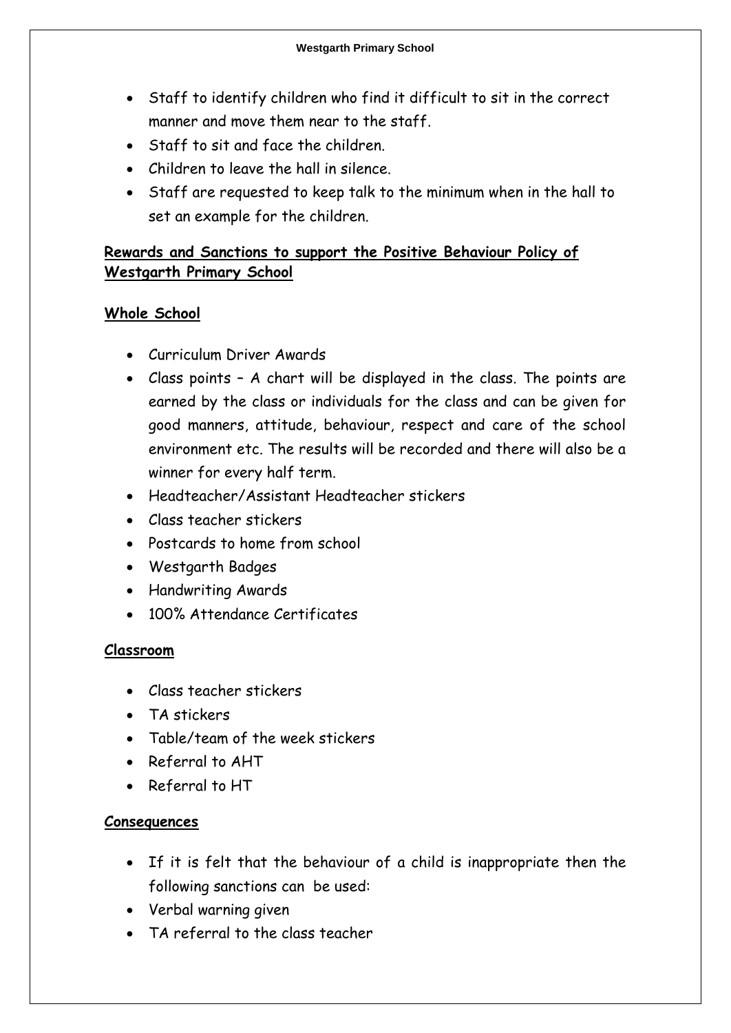- Staff to identify children who find it difficult to sit in the correct manner and move them near to the staff.
- Staff to sit and face the children.
- Children to leave the hall in silence.
- Staff are requested to keep talk to the minimum when in the hall to set an example for the children.

# **Rewards and Sanctions to support the Positive Behaviour Policy of Westgarth Primary School**

# **Whole School**

- Curriculum Driver Awards
- Class points A chart will be displayed in the class. The points are earned by the class or individuals for the class and can be given for good manners, attitude, behaviour, respect and care of the school environment etc. The results will be recorded and there will also be a winner for every half term.
- Headteacher/Assistant Headteacher stickers
- Class teacher stickers
- Postcards to home from school
- Westgarth Badges
- Handwriting Awards
- 100% Attendance Certificates

# **Classroom**

- Class teacher stickers
- TA stickers
- Table/team of the week stickers
- Referral to AHT
- Referral to HT

# **Consequences**

- If it is felt that the behaviour of a child is inappropriate then the following sanctions can be used:
- Verbal warning given
- TA referral to the class teacher